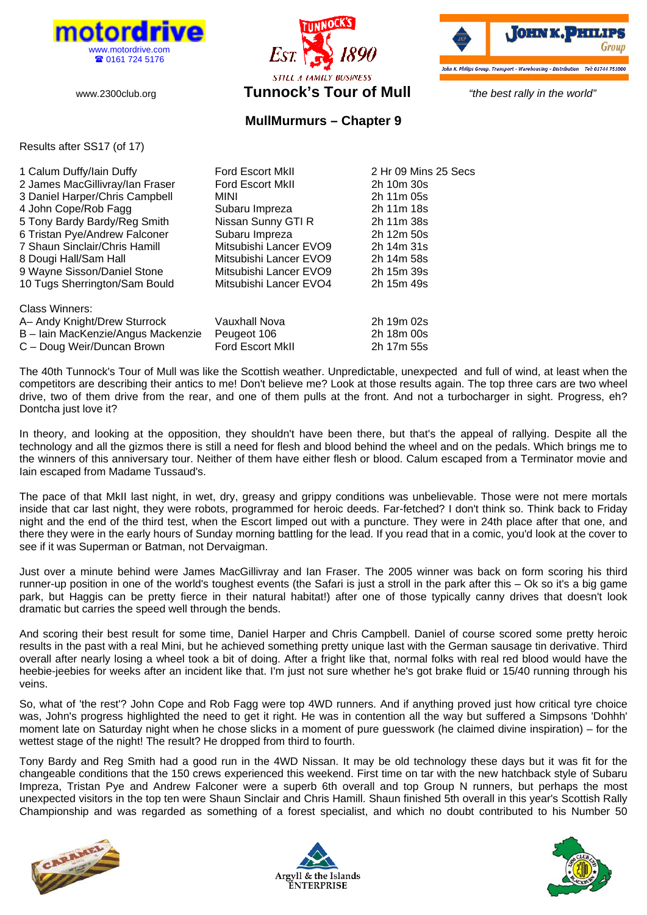





## **MullMurmurs – Chapter 9**

Results after SS17 (of 17)

| 1 Calum Duffy/lain Duffy           | <b>Ford Escort MkII</b> | 2 Hr 09 Mins 25 Secs |
|------------------------------------|-------------------------|----------------------|
| 2 James MacGillivray/lan Fraser    | <b>Ford Escort MkII</b> | 2h 10m 30s           |
| 3 Daniel Harper/Chris Campbell     | MINI                    | 2h 11m 05s           |
| 4 John Cope/Rob Fagg               | Subaru Impreza          | 2h 11m 18s           |
| 5 Tony Bardy Bardy/Reg Smith       | Nissan Sunny GTI R      | 2h 11m 38s           |
| 6 Tristan Pye/Andrew Falconer      | Subaru Impreza          | 2h 12m 50s           |
| 7 Shaun Sinclair/Chris Hamill      | Mitsubishi Lancer EVO9  | 2h 14m 31s           |
| 8 Dougi Hall/Sam Hall              | Mitsubishi Lancer EVO9  | 2h 14m 58s           |
| 9 Wayne Sisson/Daniel Stone        | Mitsubishi Lancer EVO9  | 2h 15m 39s           |
| 10 Tugs Sherrington/Sam Bould      | Mitsubishi Lancer EVO4  | 2h 15m 49s           |
| Class Winners:                     |                         |                      |
| A- Andy Knight/Drew Sturrock       | Vauxhall Nova           | 2h 19m 02s           |
| B - Iain MacKenzie/Angus Mackenzie | Peugeot 106             | 2h 18m 00s           |
| C - Doug Weir/Duncan Brown         | <b>Ford Escort MkII</b> | 2h 17m 55s           |

The 40th Tunnock's Tour of Mull was like the Scottish weather. Unpredictable, unexpected and full of wind, at least when the competitors are describing their antics to me! Don't believe me? Look at those results again. The top three cars are two wheel drive, two of them drive from the rear, and one of them pulls at the front. And not a turbocharger in sight. Progress, eh? Dontcha just love it?

In theory, and looking at the opposition, they shouldn't have been there, but that's the appeal of rallying. Despite all the technology and all the gizmos there is still a need for flesh and blood behind the wheel and on the pedals. Which brings me to the winners of this anniversary tour. Neither of them have either flesh or blood. Calum escaped from a Terminator movie and Iain escaped from Madame Tussaud's.

The pace of that MkII last night, in wet, dry, greasy and grippy conditions was unbelievable. Those were not mere mortals inside that car last night, they were robots, programmed for heroic deeds. Far-fetched? I don't think so. Think back to Friday night and the end of the third test, when the Escort limped out with a puncture. They were in 24th place after that one, and there they were in the early hours of Sunday morning battling for the lead. If you read that in a comic, you'd look at the cover to see if it was Superman or Batman, not Dervaigman.

Just over a minute behind were James MacGillivray and Ian Fraser. The 2005 winner was back on form scoring his third runner-up position in one of the world's toughest events (the Safari is just a stroll in the park after this – Ok so it's a big game park, but Haggis can be pretty fierce in their natural habitat!) after one of those typically canny drives that doesn't look dramatic but carries the speed well through the bends.

And scoring their best result for some time, Daniel Harper and Chris Campbell. Daniel of course scored some pretty heroic results in the past with a real Mini, but he achieved something pretty unique last with the German sausage tin derivative. Third overall after nearly losing a wheel took a bit of doing. After a fright like that, normal folks with real red blood would have the heebie-jeebies for weeks after an incident like that. I'm just not sure whether he's got brake fluid or 15/40 running through his veins.

So, what of 'the rest'? John Cope and Rob Fagg were top 4WD runners. And if anything proved just how critical tyre choice was, John's progress highlighted the need to get it right. He was in contention all the way but suffered a Simpsons 'Dohhh' moment late on Saturday night when he chose slicks in a moment of pure guesswork (he claimed divine inspiration) – for the wettest stage of the night! The result? He dropped from third to fourth.

Tony Bardy and Reg Smith had a good run in the 4WD Nissan. It may be old technology these days but it was fit for the changeable conditions that the 150 crews experienced this weekend. First time on tar with the new hatchback style of Subaru Impreza, Tristan Pye and Andrew Falconer were a superb 6th overall and top Group N runners, but perhaps the most unexpected visitors in the top ten were Shaun Sinclair and Chris Hamill. Shaun finished 5th overall in this year's Scottish Rally Championship and was regarded as something of a forest specialist, and which no doubt contributed to his Number 50